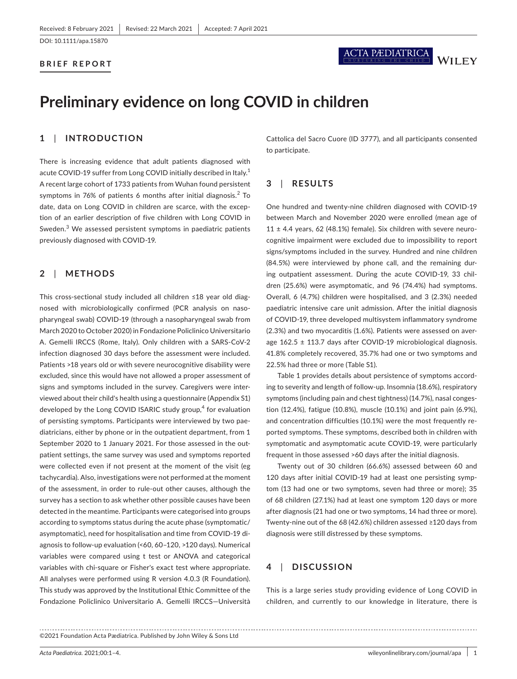DOI: 10.1111/apa.15870

#### **BRIEF REPORT**



# **Preliminary evidence on long COVID in children**

# **1**  | **INTRODUCTION**

There is increasing evidence that adult patients diagnosed with acute COVID-19 suffer from Long COVID initially described in Italy.<sup>1</sup> A recent large cohort of 1733 patients from Wuhan found persistent symptoms in 76% of patients 6 months after initial diagnosis. $2$  To date, data on Long COVID in children are scarce, with the exception of an earlier description of five children with Long COVID in Sweden.<sup>3</sup> We assessed persistent symptoms in paediatric patients previously diagnosed with COVID-19.

# **2**  | **METHODS**

This cross-sectional study included all children ≤18 year old diagnosed with microbiologically confirmed (PCR analysis on nasopharyngeal swab) COVID-19 (through a nasopharyngeal swab from March 2020 to October 2020) in Fondazione Policlinico Universitario A. Gemelli IRCCS (Rome, Italy). Only children with a SARS-CoV-2 infection diagnosed 30 days before the assessment were included. Patients >18 years old or with severe neurocognitive disability were excluded, since this would have not allowed a proper assessment of signs and symptoms included in the survey. Caregivers were interviewed about their child's health using a questionnaire (Appendix S1) developed by the Long COVID ISARIC study group,<sup>4</sup> for evaluation of persisting symptoms. Participants were interviewed by two paediatricians, either by phone or in the outpatient department, from 1 September 2020 to 1 January 2021. For those assessed in the outpatient settings, the same survey was used and symptoms reported were collected even if not present at the moment of the visit (eg tachycardia). Also, investigations were not performed at the moment of the assessment, in order to rule-out other causes, although the survey has a section to ask whether other possible causes have been detected in the meantime. Participants were categorised into groups according to symptoms status during the acute phase (symptomatic/ asymptomatic), need for hospitalisation and time from COVID-19 diagnosis to follow-up evaluation (<60, 60–120, >120 days). Numerical variables were compared using t test or ANOVA and categorical variables with chi-square or Fisher's exact test where appropriate. All analyses were performed using R version 4.0.3 (R Foundation). This study was approved by the Institutional Ethic Committee of the Fondazione Policlinico Universitario A. Gemelli IRCCS—Università

Cattolica del Sacro Cuore (ID 3777), and all participants consented to participate.

## **3**  | **RESULTS**

One hundred and twenty-nine children diagnosed with COVID-19 between March and November 2020 were enrolled (mean age of 11  $\pm$  4.4 years, 62 (48.1%) female). Six children with severe neurocognitive impairment were excluded due to impossibility to report signs/symptoms included in the survey. Hundred and nine children (84.5%) were interviewed by phone call, and the remaining during outpatient assessment. During the acute COVID-19, 33 children (25.6%) were asymptomatic, and 96 (74.4%) had symptoms. Overall, 6 (4.7%) children were hospitalised, and 3 (2.3%) needed paediatric intensive care unit admission. After the initial diagnosis of COVID-19, three developed multisystem inflammatory syndrome (2.3%) and two myocarditis (1.6%). Patients were assessed on average 162.5 ± 113.7 days after COVID-19 microbiological diagnosis. 41.8% completely recovered, 35.7% had one or two symptoms and 22.5% had three or more (Table S1).

Table 1 provides details about persistence of symptoms according to severity and length of follow-up. Insomnia (18.6%), respiratory symptoms (including pain and chest tightness) (14.7%), nasal congestion (12.4%), fatigue (10.8%), muscle (10.1%) and joint pain (6.9%), and concentration difficulties (10.1%) were the most frequently reported symptoms. These symptoms, described both in children with symptomatic and asymptomatic acute COVID-19, were particularly frequent in those assessed >60 days after the initial diagnosis.

Twenty out of 30 children (66.6%) assessed between 60 and 120 days after initial COVID-19 had at least one persisting symptom (13 had one or two symptoms, seven had three or more); 35 of 68 children (27.1%) had at least one symptom 120 days or more after diagnosis (21 had one or two symptoms, 14 had three or more). Twenty-nine out of the 68 (42.6%) children assessed ≥120 days from diagnosis were still distressed by these symptoms.

## **4**  | **DISCUSSION**

This is a large series study providing evidence of Long COVID in children, and currently to our knowledge in literature, there is

<sup>©2021</sup> Foundation Acta Pædiatrica. Published by John Wiley & Sons Ltd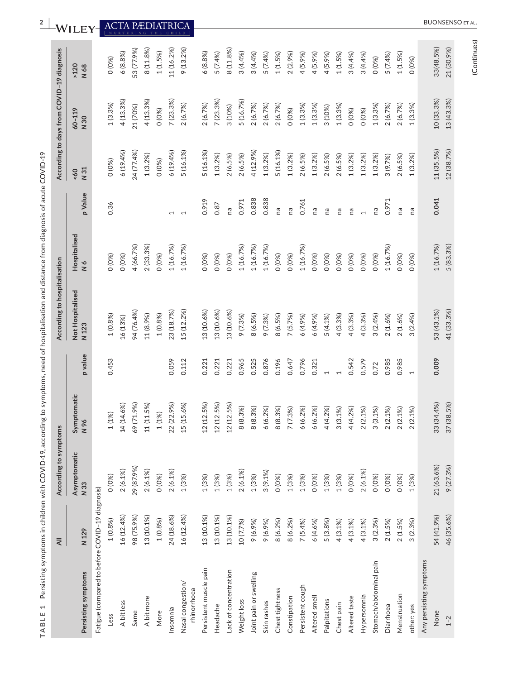| l                                                                                   |
|-------------------------------------------------------------------------------------|
| l<br>I                                                                              |
|                                                                                     |
|                                                                                     |
|                                                                                     |
|                                                                                     |
|                                                                                     |
|                                                                                     |
|                                                                                     |
|                                                                                     |
|                                                                                     |
|                                                                                     |
| )                                                                                   |
|                                                                                     |
|                                                                                     |
| ś                                                                                   |
| l                                                                                   |
|                                                                                     |
|                                                                                     |
|                                                                                     |
|                                                                                     |
|                                                                                     |
|                                                                                     |
|                                                                                     |
|                                                                                     |
|                                                                                     |
|                                                                                     |
| ׇ֚֬֓֡֡֡֡                                                                            |
|                                                                                     |
|                                                                                     |
|                                                                                     |
|                                                                                     |
| ļ                                                                                   |
|                                                                                     |
|                                                                                     |
| l<br>i<br>i                                                                         |
| Ì<br>Ś                                                                              |
|                                                                                     |
| i<br>j                                                                              |
|                                                                                     |
|                                                                                     |
| $\frac{1}{2}$                                                                       |
|                                                                                     |
|                                                                                     |
|                                                                                     |
| ׇ֚֬֡֡֡֡                                                                             |
|                                                                                     |
|                                                                                     |
|                                                                                     |
| i                                                                                   |
|                                                                                     |
|                                                                                     |
| ׇ֓֕֡                                                                                |
| ĺ                                                                                   |
| I                                                                                   |
| ֧֦֧֦֧֦֧֦֧֦֧֦֧֦֧ׅ֧֦֧֦֧֦֧֦֧֦֧ׅ֧֧֪֦֧ׅ֧֪֪֪֦֖֦֖֧֪֪֪֪֪֪֪֪֪֪֪֪֪֪֪֪֪֪֪֚֚֚֚֬֜֓֓֜֓֓֝֬֝֜֓֓֝֬֝֬ |
|                                                                                     |
| $\frac{1}{2}$                                                                       |
|                                                                                     |
|                                                                                     |
|                                                                                     |
|                                                                                     |
|                                                                                     |
|                                                                                     |
| $-$ chil $\overline{ }$<br>ׇׅ֚֚֬֡֡֡֡֡֝                                              |
| $\subseteq$<br>ׇ֦ׅ֚֡֡֡֡֝                                                            |
|                                                                                     |
| Ş                                                                                   |
| l                                                                                   |
|                                                                                     |
| ļ                                                                                   |
| ï                                                                                   |
| ׇׅ֚֚֬֡֡֡֡֝                                                                          |
|                                                                                     |
|                                                                                     |
| ï<br>֡֡֡<br>j                                                                       |
| Ī<br>֡֡֡֡֡֡֡֡                                                                       |
|                                                                                     |
| 1                                                                                   |
|                                                                                     |
| l<br>J<br>J                                                                         |
| l<br>Ì                                                                              |
| ֦֧ׅ֚֡֝                                                                              |
|                                                                                     |

|                                                 | ₹          | According to symptoms |                                |                | According to hospitalisation |                                |         |                       | According to days from COVID-19 diagnosis |              |
|-------------------------------------------------|------------|-----------------------|--------------------------------|----------------|------------------------------|--------------------------------|---------|-----------------------|-------------------------------------------|--------------|
| Persisting symptoms                             | N 129      | Asymptomatic<br>N 33  | Symptomatic<br>N 96            | p value        | Not Hospitalised<br>N 123    | Hospitalised<br>$\overline{N}$ | p Value | N <sub>31</sub><br>50 | $60 - 119$<br>N 30                        | >120<br>N 68 |
| Fatigue (compared to before COVID-19 diagnosis) |            |                       |                                |                |                              |                                |         |                       |                                           |              |
| Less                                            | 1(0.8%)    | 0(0%)                 | (1%                            | 0.453          | 1(0.8%)                      | 0(0%)                          | 0.36    | 0(0%)                 | $1(3.3\%)$                                | 0(0%)        |
| A bit less                                      | 16 (12.4%) | 2(6.1%)               | (14.6%)<br>$\overline{14}$     |                | 16 (13%)                     | 0 (0%)                         |         | 6(19.4%)              | 4 (13.3%)                                 | 6(8.8%)      |
| Same                                            | 98 (75.9%) | 29 (87.9%)            | (71.9%)<br>69                  |                | 94 (76.4%)                   | 4 (66.7%)                      |         | 24 (77.4%)            | 21 (70%)                                  | 53 (77.9%)   |
| A bit more                                      | 13 (10.1%) | 2(6.1%)               | (11.5%)<br>11                  |                | 11 (8.9%)                    | 2 (33.3%)                      |         | 1(3.2%)               | 4 (13.3%)                                 | 8 (11.8%)    |
| More                                            | 1(0.8%)    | 0(0%)                 | (1%                            |                | 1(0.8%)                      | 0(0%                           |         | 0(0%                  | 0(0%)                                     | 1(1.5%)      |
| Insomnia                                        | 24 (18.6%) | 2(6.1%)               | (22.9%)<br>22                  | 0.059          | 23 (18.7%)                   | 1 (16.7%)                      |         | 6 (19.4%)             | 7 (23.3%)                                 | 11 (16.2%)   |
| Nasal congestion/<br>rhinorrhoea                | 16 (12.4%) | 1(3%)                 | (15.6%)<br>15                  | 0.112          | 15 (12.2%)                   | 1 (16.7%)                      |         | 5 (16.1%)             | 2(6.7%)                                   | 9 (13.2%)    |
| Persistent muscle pain                          | 13 (10.1%) | 1(3%)                 | (12.5%)<br>12                  | 0.221          | 13 (10.6%)                   | 0(0%)                          | 0.919   | 5 (16.1%)             | 2(6.7%)                                   | 6(8.8%)      |
| Headache                                        | 13 (10.1%) | 1(3%)                 | (12.5%)<br>12                  | 0.221          | 13 (10.6%)                   | 0(0%)                          | 0.87    | $1(3.2\%)$            | 7 (23.3%)                                 | 5 (7.4%)     |
| Lack of concentration                           | 13 (10.1%) | 1(3%)                 | (12.5%)<br>12                  | 0.221          | 13 (10.6%)                   | 0(0%)                          | na      | 2(6.5%)               | 3 (10%)                                   | 8 (11.8%)    |
| Weight loss                                     | 10 (7.7%)  | 2(6.1%)               | (8.3%)<br>$\infty$             | 0.965          | 9 (7.3%)                     | 1 (16.7%)                      | 0.971   | 2(6.5%)               | 5 (16.7%)                                 | 3 (4.4%)     |
| Joint pain or swelling                          | 9 (6.9%)   | 1(3%)                 | (8.3%)<br>$\infty$             | 0.525          | 8 (6.5%)                     | 1 (16.7%)                      | 0.838   | 4 (12.9%)             | 2(6.7%)                                   | 3(4.4%)      |
| Skin rashes                                     | 9 (6.9%)   | $3(9.1\%)$            | (6.2%)<br>∾                    | 0.876          | 9 (7.3%)                     | 1 (16.7%)                      | 0.838   | 1(3.2%)               | 2(6.7%)                                   | 5(7.4%)      |
| Chest tightness                                 | 8 (6.2%)   | 0(0%)                 | (8.3%)<br>$\infty$             | 0.196          | 8 (6.5%)                     | 0(0%)                          | na      | 5 (16.1%)             | 2(6.7%)                                   | 1(1.5%)      |
| Constipation                                    | 8 (6.2%)   | 1(3%)                 | (7.3%)                         | 0.647          | 7(5.7%)                      | 0(0%)                          | na      | 1(3.2%)               | 0(0%)                                     | 2(2.9%       |
| Persistent cough                                | 7(5.4%)    | 1(3%)                 | (6.2%)<br>∾                    | 0.796          | 6 (4.9%)                     | 1 (16.7%)                      | 0.761   | 2(6.5%)               | 1(3.3%)                                   | 4(5.9%       |
| Altered smell                                   | 6 (4.6%)   | 0(0%)                 | (6.2%)<br>∾                    | 0.321          | 6 (4.9%)                     | 0(0%)                          | na      | 1(3.2%)               | $1(3.3\%)$                                | 4(5.9%)      |
| Palpitations                                    | 5(3.8%)    | 1(3%)                 | (4.2%)<br>4                    | $\overline{ }$ | 5(4.1%)                      | 0(0%)                          | ma      | 2(6.5%)               | 3 (10%)                                   | 4(5.9%)      |
| Chest pain                                      | 4 (3.1%)   | 1(3%)                 | (3.1%)<br>က                    |                | 4 (3.3%)                     | 0(0%)                          | Γã      | 2(6.5%)               | 1(3.3%)                                   | 1(1.5%)      |
| Altered taste                                   | 4 (3.1%)   | 0 (0%)                | (4.2%)<br>4                    | 0.542          | 4 (3.3%)                     | 0(0%)                          | Γã      | 1(3.2%)               | 0(0%)                                     | 3(4.4%)      |
| Hypersomnia                                     | $4(3.1\%)$ | 2(6.1%)               | $(2.1\%)$<br>$\mathbf{\Omega}$ | 0.579          | 4 (3.3%)                     | 0(0%)                          |         | 1(3.2%)               | 0(0%)                                     | 3(4.4%)      |
| Stomach/abdominal pain                          | 3(2.3%)    | O (O%)                | (3.1%)<br>က                    | 0.72           | 3(2.4%)                      | 0(0%)                          | na      | $1(3.2\%)$            | 1(3.3%)                                   | 0(0%)        |
| Diarrhoea                                       | 2(1.5%)    | 0(0%)                 | (2.1%<br>$\sim$                | 0.985          | 2(1.6%)                      | 1 (16.7%)                      | 0.971   | 3 (9.7%)              | 2 (6.7%)                                  | 5 (7.4%)     |
| Menstruation                                    | 2(1.5%)    | 0(0%)                 | $(2.1\%)$                      | 0.985          | 2(1.6%)                      | 0(0%)                          | ma      | 2(6.5%)               | 2 (6.7%)                                  | 1(1.5%)      |
| other: yes                                      | 3(2.3%)    | 1(3%)                 | (2.1%                          | $\overline{ }$ | 3(2.4%)                      | 0 (0%)                         | ma      | 1(3.2%)               | 1(3.3%)                                   | 0(0%)        |
| Any persisting symptoms                         |            |                       |                                |                |                              |                                |         |                       |                                           |              |
| None                                            | 54 (41.9%) | 21 (63.6%)            | 33 (34.4%)                     | 0.009          | 53 (43.1%)                   | 1 (16.7%)                      | 0.041   | 11 (35.5%)            | 10 (33.3%)                                | 33(48.5%)    |
| $1 - 2$                                         | 46 (35.6%) | 9(27.3%)              | (38.5%)<br>37                  |                | 41 (33.3%)                   | 5 (83.3%)                      |         | 12 (38.7%)            | 13 (43.3%)                                | 21 (30.9%)   |

<sup>2</sup> **INALLEY** ACTA PÆDIATRICA

(Continues) (Continues)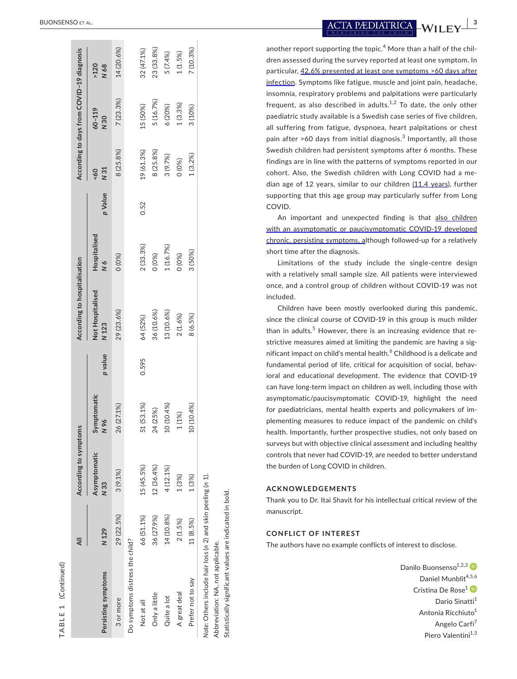|                                                              |            | According to symptoms |                     |         | According to hospitalisation |                               |         |               | According to days from COVID-19 diagnosis |              |
|--------------------------------------------------------------|------------|-----------------------|---------------------|---------|------------------------------|-------------------------------|---------|---------------|-------------------------------------------|--------------|
| Persisting symptoms                                          | N 129      | Asymptomatic<br>N 33  | Symptomatic<br>N 96 | p value | Not Hospitalised<br>N 123    | Hospitalised<br>$\frac{6}{1}$ | p Value | N 31<br>$-60$ | $60 - 119$<br>N 30                        | N 68<br>>120 |
| 3 or more                                                    | 29 (22.5%) | 3(9.1%)               | 26 (27.1%)          |         | 29 (23.6%)                   | 0 (0%)                        |         | 8 (25.8%)     | 7(23.3%)                                  | 14 (20.6%)   |
| Do symptoms distress the child?                              |            |                       |                     |         |                              |                               |         |               |                                           |              |
| Not at all                                                   | 66 (51.1%) | 15 (45.5%)            | 51 (53.1%)          | 0.595   | 64 (52%)                     | 2(33.3%)                      | 0.52    | 19 (61.3%)    | 15 (50%)                                  | 32 (47.1%)   |
| Only a little                                                | 36 (27.9%) | 12 (36.4%)            | (25%)<br>24         |         | 36 (10.6%)                   | 0(0%                          |         | 8 (25.8%)     | 5 (16.7%)                                 | 23 (33.8%)   |
| Quite a lot                                                  | 14 (10.8%) | 4 (12.1%)             | 10 (10.4%)          |         | 13 (10.6%)                   | 1 (16.7%)                     |         | 3 (9.7%)      | 6 (20%)                                   | 5(7.4%)      |
| A great deal                                                 | 2(1.5%)    | 1(3%)                 | (1%)                |         | $2(1.6\%)$                   | 0 (0%)                        |         | O(0%)         | 1(3.3%)                                   | 1(1.5%)      |
| Prefer not to say                                            | 11 (8.5%)  | 1(3%)                 | 10 (10.4%)          |         | 8 (6.5%)                     | 3 (50%)                       |         | 1(3.2%)       | 3 (10%)                                   | 7 (10.3%)    |
| Note: Others include hair loss (n 2) and skin peeling (n 1). |            |                       |                     |         |                              |                               |         |               |                                           |              |
| Abbreviation: NA, not applicable.                            |            |                       |                     |         |                              |                               |         |               |                                           |              |

 **BUONSENSO ET AL.**<br><u>ACTA PÆDIATRICA</u> — WILEY

another report supporting the topic. 4 More than a half of the chil dren assessed during the survey reported at least one symptom. In particular, 42.6% presented at least one symptoms >60 days after infection. Symptoms like fatigue, muscle and joint pain, headache, insomnia, respiratory problems and palpitations were particularly frequent, as also described in adults.<sup>1,2</sup> To date, the only other paediatric study available is a Swedish case series of five children, all suffering from fatigue, dyspnoea, heart palpitations or chest pain after >60 days from initial diagnosis.<sup>3</sup> Importantly, all those Swedish children had persistent symptoms after 6 months. These findings are in line with the patterns of symptoms reported in our cohort. Also, the Swedish children with Long COVID had a me dian age of 12 years, similar to our children (11.4 years), further supporting that this age group may particularly suffer from Long COVID.

An important and unexpected finding is that also children with an asymptomatic or paucisymptomatic COVID-19 developed chronic, persisting symptoms, although followed-up for a relatively short time after the diagnosis.

Limitations of the study include the single-centre design with a relatively small sample size. All patients were interviewed once, and a control group of children without COVID-19 was not included.

Children have been mostly overlooked during this pandemic, since the clinical course of COVID-19 in this group is much milder than in adults.<sup>5</sup> However, there is an increasing evidence that restrictive measures aimed at limiting the pandemic are having a sig nificant impact on child's mental health. 6 Childhood is a delicate and fundamental period of life, critical for acquisition of social, behav ioral and educational development. The evidence that COVID-19 can have long-term impact on children as well, including those with asymptomatic/paucisymptomatic COVID-19, highlight the need for paediatricians, mental health experts and policymakers of im plementing measures to reduce impact of the pandemic on child's health. Importantly, further prospective studies, not only based on surveys but with objective clinical assessment and including healthy controls that never had COVID-19, are needed to better understand the burden of Long COVID in children.

#### **ACKNOWLEDGEMENTS**

Thank you to Dr. Itai Shavit for his intellectual critical review of the manuscript.

### **CONFLICT OF INTEREST**

Statistically significant values are indicated in bold.

Statistically significant values are indicated in bold.

The authors have no example conflicts of interest to disclose.

Danilo Buonsenso<sup>1,2,[3](https://orcid.org/0000-0001-8567-2639)</sup> D Daniel Munblit<sup>4,5,6</sup> Cristina De Rose [1](https://orcid.org/0000-0002-5394-8335) Dario Sinatti<sup>1</sup> Antonia Ricchiuto 1 Angelo Carfi<sup>7</sup> Piero Valentini<sup>1,3</sup>

**<sup>|</sup> 3**